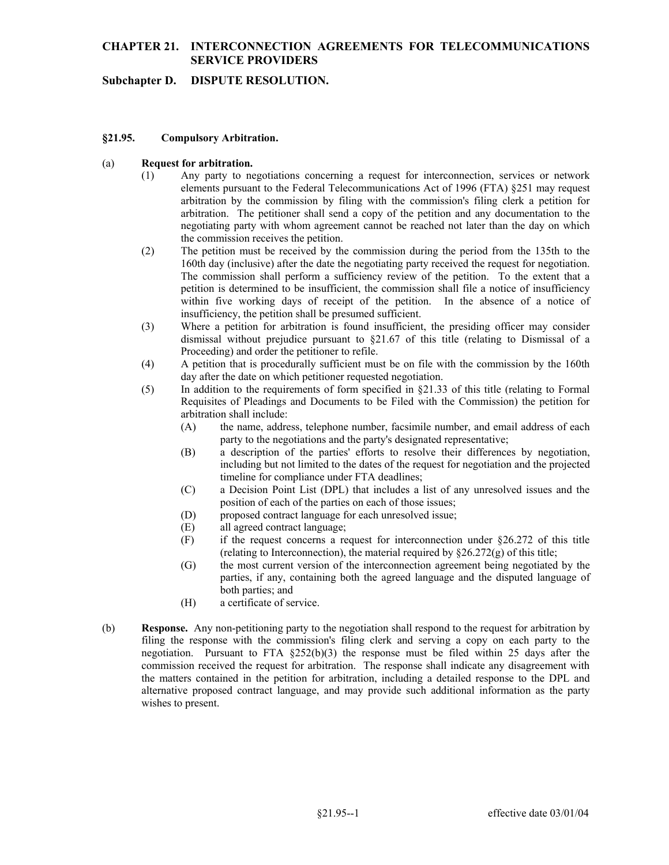## **Subchapter D. DISPUTE RESOLUTION.**

### **§21.95. Compulsory Arbitration.**

#### (a) **Request for arbitration.**

- $(1)$  negotiating party with whom agreement cannot be reached not later than the day on which Any party to negotiations concerning a request for interconnection, services or network elements pursuant to the Federal Telecommunications Act of 1996 (FTA) §251 may request arbitration by the commission by filing with the commission's filing clerk a petition for arbitration. The petitioner shall send a copy of the petition and any documentation to the the commission receives the petition.
- The commission shall perform a sufficiency review of the petition. To the extent that a (2) The petition must be received by the commission during the period from the 135th to the 160th day (inclusive) after the date the negotiating party received the request for negotiation. petition is determined to be insufficient, the commission shall file a notice of insufficiency within five working days of receipt of the petition. In the absence of a notice of insufficiency, the petition shall be presumed sufficient.
- (3) Where a petition for arbitration is found insufficient, the presiding officer may consider dismissal without prejudice pursuant to  $\S21.67$  of this title (relating to Dismissal of a Proceeding) and order the petitioner to refile.
- day after the date on which petitioner requested negotiation. (4) A petition that is procedurally sufficient must be on file with the commission by the 160th
- (5) In addition to the requirements of form specified in §21.33 of this title (relating to Formal Requisites of Pleadings and Documents to be Filed with the Commission) the petition for arbitration shall include:
	- (A) the name, address, telephone number, facsimile number, and email address of each party to the negotiations and the party's designated representative;
	- (B) a description of the parties' efforts to resolve their differences by negotiation, including but not limited to the dates of the request for negotiation and the projected timeline for compliance under FTA deadlines;
	- position of each of the parties on each of those issues; (C) a Decision Point List (DPL) that includes a list of any unresolved issues and the
	- (D) proposed contract language for each unresolved issue;
	- (E) all agreed contract language;
	- $(F)$  if the request concerns a request for interconnection under §26.272 of this title (relating to Interconnection), the material required by §26.272(g) of this title;
	- (G) the most current version of the interconnection agreement being negotiated by the parties, if any, containing both the agreed language and the disputed language of both parties; and
	- (H) a certificate of service.
- (b) **Response.** Any non-petitioning party to the negotiation shall respond to the request for arbitration by negotiation. Pursuant to FTA §252(b)(3) the response must be filed within 25 days after the filing the response with the commission's filing clerk and serving a copy on each party to the commission received the request for arbitration. The response shall indicate any disagreement with the matters contained in the petition for arbitration, including a detailed response to the DPL and alternative proposed contract language, and may provide such additional information as the party wishes to present.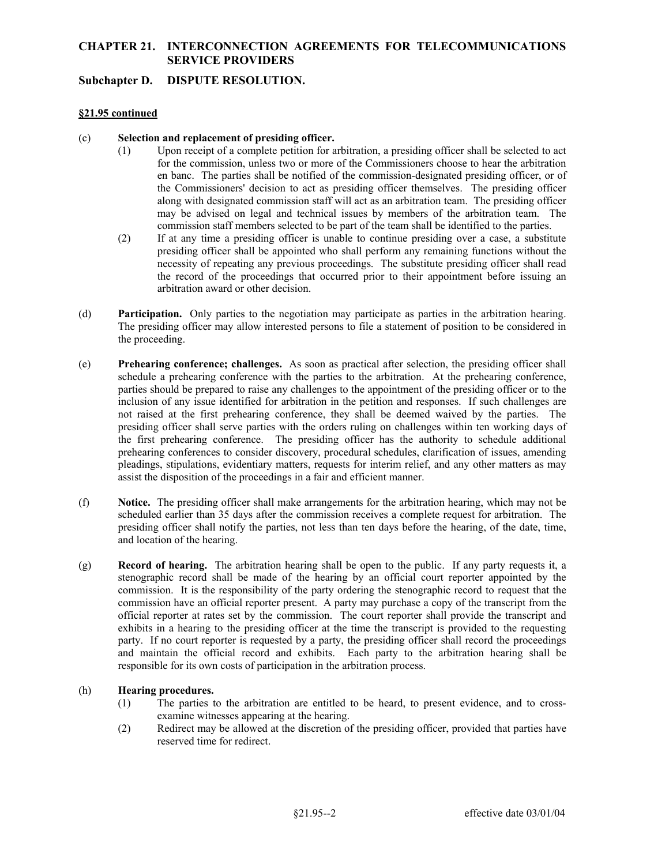## **Subchapter D. DISPUTE RESOLUTION.**

## **§21.95 continued**

### (c) **Selection and replacement of presiding officer.**

- for the commission, unless two or more of the Commissioners choose to hear the arbitration along with designated commission staff will act as an arbitration team. The presiding officer commission staff members selected to be part of the team shall be identified to the parties. (1) Upon receipt of a complete petition for arbitration, a presiding officer shall be selected to act en banc. The parties shall be notified of the commission-designated presiding officer, or of the Commissioners' decision to act as presiding officer themselves. The presiding officer may be advised on legal and technical issues by members of the arbitration team. The
- (2) If at any time a presiding officer is unable to continue presiding over a case, a substitute presiding officer shall be appointed who shall perform any remaining functions without the necessity of repeating any previous proceedings. The substitute presiding officer shall read the record of the proceedings that occurred prior to their appointment before issuing an arbitration award or other decision.
- **Participation.** Only parties to the negotiation may participate as parties in the arbitration hearing. (d) **Participation.** Only parties to the negotiation may participate as parties in the arbitration hearing. The presiding officer may allow interested persons to file a statement of position to be considered in the proceeding.
- presiding officer shall serve parties with the orders ruling on challenges within ten working days of (e) **Prehearing conference; challenges.** As soon as practical after selection, the presiding officer shall schedule a prehearing conference with the parties to the arbitration. At the prehearing conference, parties should be prepared to raise any challenges to the appointment of the presiding officer or to the inclusion of any issue identified for arbitration in the petition and responses. If such challenges are not raised at the first prehearing conference, they shall be deemed waived by the parties. The the first prehearing conference. The presiding officer has the authority to schedule additional prehearing conferences to consider discovery, procedural schedules, clarification of issues, amending pleadings, stipulations, evidentiary matters, requests for interim relief, and any other matters as may assist the disposition of the proceedings in a fair and efficient manner.
- (f) **Notice.** The presiding officer shall make arrangements for the arbitration hearing, which may not be scheduled earlier than 35 days after the commission receives a complete request for arbitration. The presiding officer shall notify the parties, not less than ten days before the hearing, of the date, time, and location of the hearing.
- commission have an official reporter present. A party may purchase a copy of the transcript from the (g) **Record of hearing.** The arbitration hearing shall be open to the public. If any party requests it, a stenographic record shall be made of the hearing by an official court reporter appointed by the commission. It is the responsibility of the party ordering the stenographic record to request that the official reporter at rates set by the commission. The court reporter shall provide the transcript and exhibits in a hearing to the presiding officer at the time the transcript is provided to the requesting party. If no court reporter is requested by a party, the presiding officer shall record the proceedings and maintain the official record and exhibits. Each party to the arbitration hearing shall be responsible for its own costs of participation in the arbitration process.

## (h) **Hearing procedures.**

- (1) The parties to the arbitration are entitled to be heard, to present evidence, and to crossexamine witnesses appearing at the hearing.
- (2) Redirect may be allowed at the discretion of the presiding officer, provided that parties have reserved time for redirect.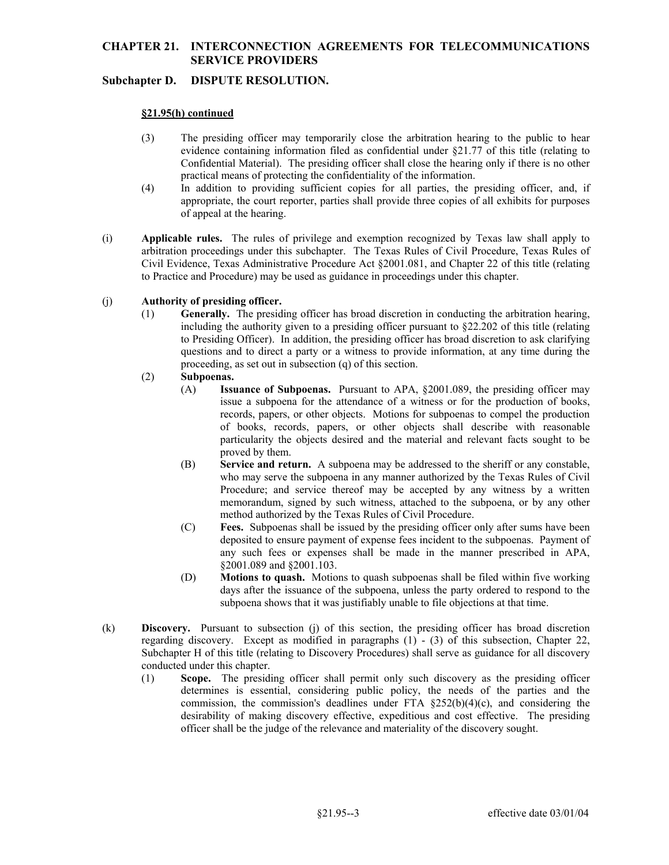# **Subchapter D. DISPUTE RESOLUTION.**

## **§21.95(h) continued**

- (3) The presiding officer may temporarily close the arbitration hearing to the public to hear evidence containing information filed as confidential under §21.77 of this title (relating to Confidential Material). The presiding officer shall close the hearing only if there is no other practical means of protecting the confidentiality of the information.
- (4) In addition to providing sufficient copies for all parties, the presiding officer, and, if appropriate, the court reporter, parties shall provide three copies of all exhibits for purposes of appeal at the hearing.
- (i) **Applicable rules.** The rules of privilege and exemption recognized by Texas law shall apply to arbitration proceedings under this subchapter. The Texas Rules of Civil Procedure, Texas Rules of Civil Evidence, Texas Administrative Procedure Act §2001.081, and Chapter 22 of this title (relating to Practice and Procedure) may be used as guidance in proceedings under this chapter.

## (j) **Authority of presiding officer.**

(1) **Generally.** The presiding officer has broad discretion in conducting the arbitration hearing, including the authority given to a presiding officer pursuant to §22.202 of this title (relating to Presiding Officer). In addition, the presiding officer has broad discretion to ask clarifying questions and to direct a party or a witness to provide information, at any time during the proceeding, as set out in subsection (q) of this section.

## (2) **Subpoenas.**

- (A) **Issuance of Subpoenas.** Pursuant to APA, §2001.089, the presiding officer may issue a subpoena for the attendance of a witness or for the production of books, records, papers, or other objects. Motions for subpoenas to compel the production of books, records, papers, or other objects shall describe with reasonable particularity the objects desired and the material and relevant facts sought to be proved by them.
- memorandum, signed by such witness, attached to the subpoena, or by any other method authorized by the Texas Rules of Civil Procedure. (B) **Service and return.** A subpoena may be addressed to the sheriff or any constable, who may serve the subpoena in any manner authorized by the Texas Rules of Civil Procedure; and service thereof may be accepted by any witness by a written
- method authorized by the Texas Rules of Civil Procedure. (C) **Fees.** Subpoenas shall be issued by the presiding officer only after sums have been deposited to ensure payment of expense fees incident to the subpoenas. Payment of any such fees or expenses shall be made in the manner prescribed in APA, §2001.089 and §2001.103.
- (D) **Motions to quash.** Motions to quash subpoenas shall be filed within five working days after the issuance of the subpoena, unless the party ordered to respond to the subpoena shows that it was justifiably unable to file objections at that time.
- (k) **Discovery.** Pursuant to subsection (j) of this section, the presiding officer has broad discretion regarding discovery. Except as modified in paragraphs (1) - (3) of this subsection, Chapter 22, Subchapter H of this title (relating to Discovery Procedures) shall serve as guidance for all discovery conducted under this chapter.
	- (1) **Scope.** The presiding officer shall permit only such discovery as the presiding officer determines is essential, considering public policy, the needs of the parties and the commission, the commission's deadlines under FTA  $$252(b)(4)(c)$ , and considering the desirability of making discovery effective, expeditious and cost effective. The presiding officer shall be the judge of the relevance and materiality of the discovery sought.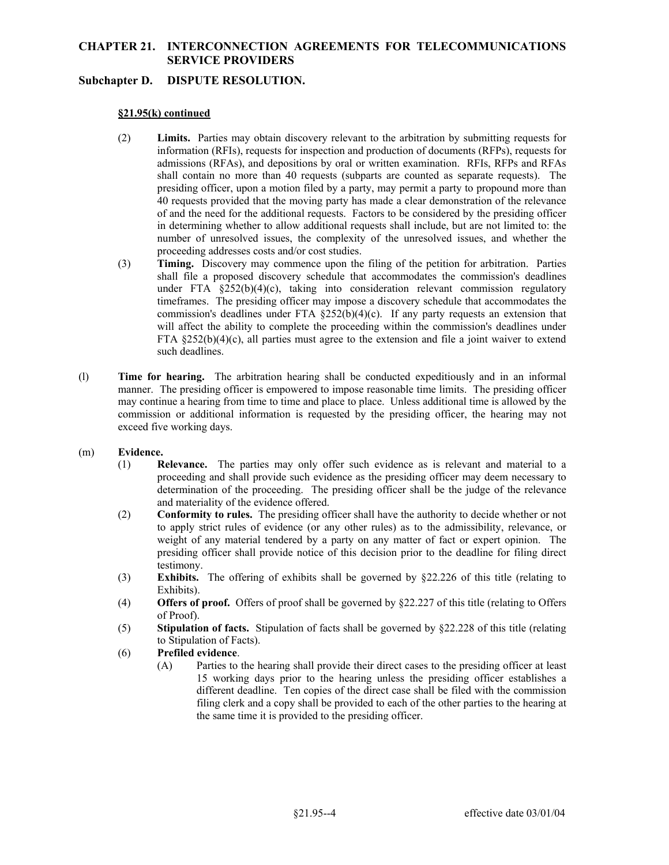## **Subchapter D. DISPUTE RESOLUTION.**

## **§21.95(k) continued**

- admissions (RFAs), and depositions by oral or written examination. RFIs, RFPs and RFAs (2) **Limits.** Parties may obtain discovery relevant to the arbitration by submitting requests for information (RFIs), requests for inspection and production of documents (RFPs), requests for shall contain no more than 40 requests (subparts are counted as separate requests). The presiding officer, upon a motion filed by a party, may permit a party to propound more than 40 requests provided that the moving party has made a clear demonstration of the relevance of and the need for the additional requests. Factors to be considered by the presiding officer in determining whether to allow additional requests shall include, but are not limited to: the number of unresolved issues, the complexity of the unresolved issues, and whether the proceeding addresses costs and/or cost studies.
- (3) **Timing.** Discovery may commence upon the filing of the petition for arbitration. Parties FTA §252(b)(4)(c), all parties must agree to the extension and file a joint waiver to extend shall file a proposed discovery schedule that accommodates the commission's deadlines under FTA  $\S 252(b)(4)(c)$ , taking into consideration relevant commission regulatory timeframes. The presiding officer may impose a discovery schedule that accommodates the commission's deadlines under FTA  $\S252(b)(4)(c)$ . If any party requests an extension that will affect the ability to complete the proceeding within the commission's deadlines under such deadlines.
- (l) **Time for hearing.** The arbitration hearing shall be conducted expeditiously and in an informal manner. The presiding officer is empowered to impose reasonable time limits. The presiding officer may continue a hearing from time to time and place to place. Unless additional time is allowed by the commission or additional information is requested by the presiding officer, the hearing may not exceed five working days.

## (m) **Evidence.**

- (1) **Relevance.** The parties may only offer such evidence as is relevant and material to a proceeding and shall provide such evidence as the presiding officer may deem necessary to determination of the proceeding. The presiding officer shall be the judge of the relevance and materiality of the evidence offered.
- (2) **Conformity to rules.** The presiding officer shall have the authority to decide whether or not to apply strict rules of evidence (or any other rules) as to the admissibility, relevance, or weight of any material tendered by a party on any matter of fact or expert opinion. The presiding officer shall provide notice of this decision prior to the deadline for filing direct testimony.
- (3) **Exhibits.** The offering of exhibits shall be governed by §22.226 of this title (relating to Exhibits).
- (4) **Offers of proof.** Offers of proof shall be governed by §22.227 of this title (relating to Offers of Proof).
- (5) **Stipulation of facts.** Stipulation of facts shall be governed by §22.228 of this title (relating to Stipulation of Facts).
- (6) **Prefiled evidence**.
	- (A) Parties to the hearing shall provide their direct cases to the presiding officer at least 15 working days prior to the hearing unless the presiding officer establishes a different deadline. Ten copies of the direct case shall be filed with the commission filing clerk and a copy shall be provided to each of the other parties to the hearing at the same time it is provided to the presiding officer.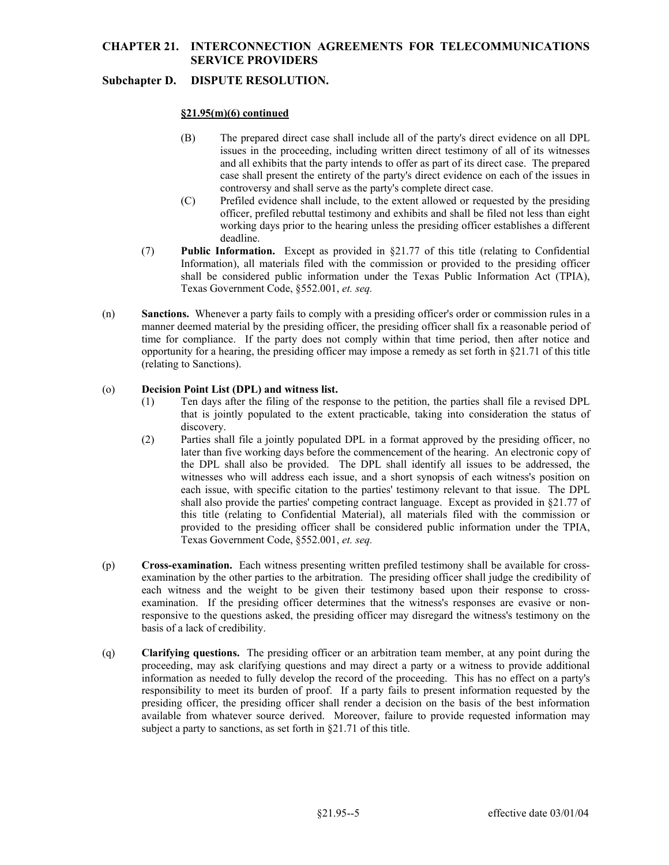# **Subchapter D. DISPUTE RESOLUTION.**

#### **§21.95(m)(6) continued**

- issues in the proceeding, including written direct testimony of all of its witnesses (B) The prepared direct case shall include all of the party's direct evidence on all DPL and all exhibits that the party intends to offer as part of its direct case. The prepared case shall present the entirety of the party's direct evidence on each of the issues in controversy and shall serve as the party's complete direct case.
- (C) Prefiled evidence shall include, to the extent allowed or requested by the presiding officer, prefiled rebuttal testimony and exhibits and shall be filed not less than eight working days prior to the hearing unless the presiding officer establishes a different deadline.
- shall be considered public information under the Texas Public Information Act (TPIA), (7) **Public Information.** Except as provided in §21.77 of this title (relating to Confidential Information), all materials filed with the commission or provided to the presiding officer Texas Government Code, §552.001, *et. seq.*
- (n) **Sanctions.** Whenever a party fails to comply with a presiding officer's order or commission rules in a opportunity for a hearing, the presiding officer may impose a remedy as set forth in §21.71 of this title manner deemed material by the presiding officer, the presiding officer shall fix a reasonable period of time for compliance. If the party does not comply within that time period, then after notice and (relating to Sanctions).

## (o) **Decision Point List (DPL) and witness list.**

- (1) Ten days after the filing of the response to the petition, the parties shall file a revised DPL that is jointly populated to the extent practicable, taking into consideration the status of discovery.
- shall also provide the parties' competing contract language. Except as provided in §21.77 of (2) Parties shall file a jointly populated DPL in a format approved by the presiding officer, no later than five working days before the commencement of the hearing. An electronic copy of the DPL shall also be provided. The DPL shall identify all issues to be addressed, the witnesses who will address each issue, and a short synopsis of each witness's position on each issue, with specific citation to the parties' testimony relevant to that issue. The DPL this title (relating to Confidential Material), all materials filed with the commission or provided to the presiding officer shall be considered public information under the TPIA, Texas Government Code, §552.001, *et. seq.*
- (p) **Cross-examination.** Each witness presenting written prefiled testimony shall be available for crossexamination by the other parties to the arbitration. The presiding officer shall judge the credibility of each witness and the weight to be given their testimony based upon their response to crossexamination. If the presiding officer determines that the witness's responses are evasive or nonresponsive to the questions asked, the presiding officer may disregard the witness's testimony on the basis of a lack of credibility.
- (q) **Clarifying questions.** The presiding officer or an arbitration team member, at any point during the proceeding, may ask clarifying questions and may direct a party or a witness to provide additional information as needed to fully develop the record of the proceeding. This has no effect on a party's responsibility to meet its burden of proof. If a party fails to present information requested by the presiding officer, the presiding officer shall render a decision on the basis of the best information available from whatever source derived. Moreover, failure to provide requested information may subject a party to sanctions, as set forth in §21.71 of this title.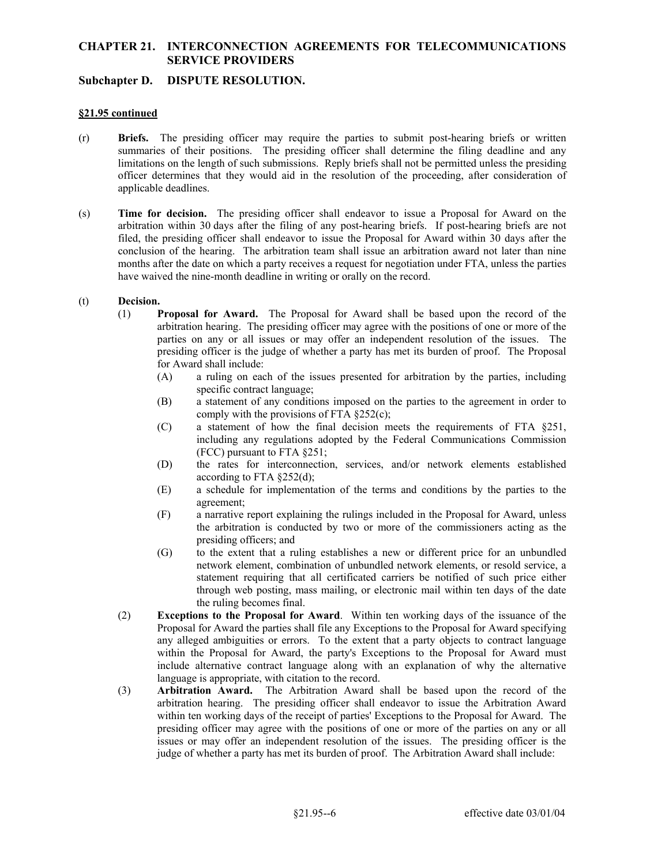## **Subchapter D. DISPUTE RESOLUTION.**

#### **§21.95 continued**

- officer determines that they would aid in the resolution of the proceeding, after consideration of (r) **Briefs.** The presiding officer may require the parties to submit post-hearing briefs or written summaries of their positions. The presiding officer shall determine the filing deadline and any limitations on the length of such submissions. Reply briefs shall not be permitted unless the presiding applicable deadlines.
- (s) **Time for decision.** The presiding officer shall endeavor to issue a Proposal for Award on the arbitration within 30 days after the filing of any post-hearing briefs. If post-hearing briefs are not filed, the presiding officer shall endeavor to issue the Proposal for Award within 30 days after the conclusion of the hearing. The arbitration team shall issue an arbitration award not later than nine months after the date on which a party receives a request for negotiation under FTA, unless the parties have waived the nine-month deadline in writing or orally on the record.

## (t) **Decision.**

- arbitration hearing. The presiding officer may agree with the positions of one or more of the (1) **Proposal for Award.** The Proposal for Award shall be based upon the record of the parties on any or all issues or may offer an independent resolution of the issues. The presiding officer is the judge of whether a party has met its burden of proof. The Proposal for Award shall include:
	- (A) a ruling on each of the issues presented for arbitration by the parties, including specific contract language;
	- (B) a statement of any conditions imposed on the parties to the agreement in order to comply with the provisions of FTA §252(c);
	- (FCC) pursuant to FTA §251; (C) a statement of how the final decision meets the requirements of FTA §251, including any regulations adopted by the Federal Communications Commission
	- (D) the rates for interconnection, services, and/or network elements established according to FTA  $§252(d)$ ;
	- (E) a schedule for implementation of the terms and conditions by the parties to the agreement;
	- (F) a narrative report explaining the rulings included in the Proposal for Award, unless the arbitration is conducted by two or more of the commissioners acting as the presiding officers; and
	- (G) to the extent that a ruling establishes a new or different price for an unbundled network element, combination of unbundled network elements, or resold service, a statement requiring that all certificated carriers be notified of such price either through web posting, mass mailing, or electronic mail within ten days of the date the ruling becomes final.
- (2) **Exceptions to the Proposal for Award**. Within ten working days of the issuance of the Proposal for Award the parties shall file any Exceptions to the Proposal for Award specifying any alleged ambiguities or errors. To the extent that a party objects to contract language within the Proposal for Award, the party's Exceptions to the Proposal for Award must include alternative contract language along with an explanation of why the alternative language is appropriate, with citation to the record.
- (3) **Arbitration Award.** The Arbitration Award shall be based upon the record of the within ten working days of the receipt of parties' Exceptions to the Proposal for Award. The presiding officer may agree with the positions of one or more of the parties on any or all arbitration hearing. The presiding officer shall endeavor to issue the Arbitration Award issues or may offer an independent resolution of the issues. The presiding officer is the judge of whether a party has met its burden of proof. The Arbitration Award shall include: